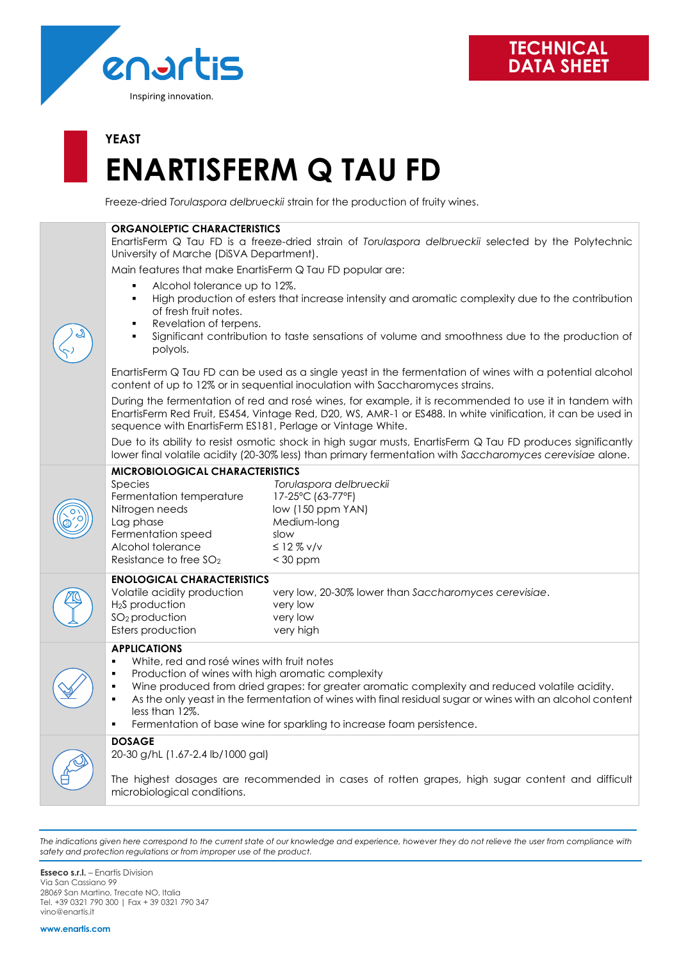

# **YEAST ENARTISFERM Q TAU FD**

Freeze-dried *Torulaspora delbrueckii* strain for the production of fruity wines.

| <b>ORGANOLEPTIC CHARACTERISTICS</b>                                                                                                                                                                                                                                                                                                                                                                                                                                    |                                                                                                                   |  |  |  |
|------------------------------------------------------------------------------------------------------------------------------------------------------------------------------------------------------------------------------------------------------------------------------------------------------------------------------------------------------------------------------------------------------------------------------------------------------------------------|-------------------------------------------------------------------------------------------------------------------|--|--|--|
| EnartisFerm Q Tau FD is a freeze-dried strain of Torulaspora delbrueckii selected by the Polytechnic<br>University of Marche (DiSVA Department).                                                                                                                                                                                                                                                                                                                       |                                                                                                                   |  |  |  |
| Main features that make EnartisFerm Q Tau FD popular are:                                                                                                                                                                                                                                                                                                                                                                                                              |                                                                                                                   |  |  |  |
| Alcohol tolerance up to 12%.<br>٠<br>High production of esters that increase intensity and aromatic complexity due to the contribution<br>٠<br>of fresh fruit notes.<br>Revelation of terpens.<br>٠<br>Significant contribution to taste sensations of volume and smoothness due to the production of<br>polyols.                                                                                                                                                      |                                                                                                                   |  |  |  |
| EnartisFerm Q Tau FD can be used as a single yeast in the fermentation of wines with a potential alcohol<br>content of up to 12% or in sequential inoculation with Saccharomyces strains.                                                                                                                                                                                                                                                                              |                                                                                                                   |  |  |  |
| During the fermentation of red and rosé wines, for example, it is recommended to use it in tandem with<br>EnartisFerm Red Fruit, ES454, Vintage Red, D20, WS, AMR-1 or ES488. In white vinification, it can be used in<br>sequence with EnartisFerm ES181, Perlage or Vintage White.                                                                                                                                                                                   |                                                                                                                   |  |  |  |
| Due to its ability to resist osmotic shock in high sugar musts, EnartisFerm Q Tau FD produces significantly<br>lower final volatile acidity (20-30% less) than primary fermentation with Saccharomyces cerevisiae alone.                                                                                                                                                                                                                                               |                                                                                                                   |  |  |  |
| <b>MICROBIOLOGICAL CHARACTERISTICS</b>                                                                                                                                                                                                                                                                                                                                                                                                                                 |                                                                                                                   |  |  |  |
| Species<br>Fermentation temperature<br>Nitrogen needs<br>Lag phase<br>Fermentation speed<br>slow<br>Alcohol tolerance<br>Resistance to free SO <sub>2</sub>                                                                                                                                                                                                                                                                                                            | Torulaspora delbrueckii<br>17-25°C (63-77°F)<br>low (150 ppm YAN)<br>Medium-long<br>$\leq$ 12 % v/v<br>$<$ 30 ppm |  |  |  |
| <b>ENOLOGICAL CHARACTERISTICS</b>                                                                                                                                                                                                                                                                                                                                                                                                                                      |                                                                                                                   |  |  |  |
| Volatile acidity production<br>H <sub>2</sub> S production<br>$SO2$ production<br>Esters production                                                                                                                                                                                                                                                                                                                                                                    | very low, 20-30% lower than Saccharomyces cerevisiae.<br>very low<br>very low<br>very high                        |  |  |  |
| <b>APPLICATIONS</b><br>White, red and rosé wines with fruit notes<br>٠<br>Production of wines with high aromatic complexity<br>٠<br>Wine produced from dried grapes: for greater aromatic complexity and reduced volatile acidity.<br>٠<br>As the only yeast in the fermentation of wines with final residual sugar or wines with an alcohol content<br>$\blacksquare$<br>less than 12%.<br>Fermentation of base wine for sparkling to increase foam persistence.<br>٠ |                                                                                                                   |  |  |  |
| <b>DOSAGE</b>                                                                                                                                                                                                                                                                                                                                                                                                                                                          |                                                                                                                   |  |  |  |
| 20-30 g/hL (1.67-2.4 lb/1000 gal)<br>The highest dosages are recommended in cases of rotten grapes, high sugar content and difficult<br>microbiological conditions.                                                                                                                                                                                                                                                                                                    |                                                                                                                   |  |  |  |
|                                                                                                                                                                                                                                                                                                                                                                                                                                                                        |                                                                                                                   |  |  |  |

*The indications given here correspond to the current state of our knowledge and experience, however they do not relieve the user from compliance with safety and protection regulations or from improper use of the product.*

**Esseco s.r.l.** – Enartis Division Via San Cassiano 99 28069 San Martino, Trecate NO, Italia Tel. +39 0321 790 300 | Fax + 39 0321 790 347 vino@enartis.it